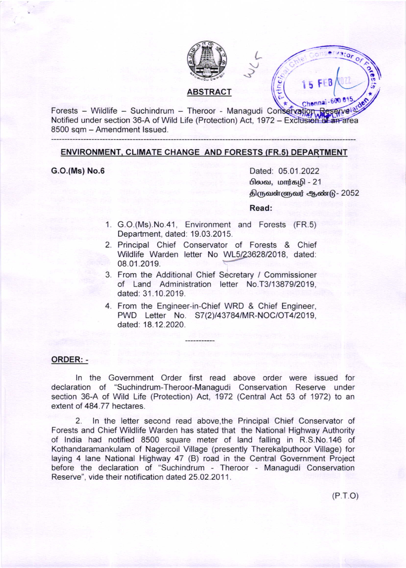

 $Chenna - 60061$ Forests - Wildlife - Suchindrum - Theroor - Managudi Cons Notified under section 36-A of Wild Life (Protection) Act, 1972 – Exclusion of an area 8500 sqm - Amendment lssued

# ENVIRONMENT. CLIMATE CHANGE AND FORESTS (FR.s) DEPARTMENT

G.O.(Ms) No.6

Dated: 05.01.2022 பிலவ, மார்க**ழி - 21** <u>திருவள்ளுவர் ஆண்டு - 2052</u>

L Ghiel Conservator of

(/

 $\sum_{i=1}^{n}$ 

l5 FtB

o ),

## Read:

- 1 G.O.(Ms).No.41, Environment and Forests (FR.5) Department, dated: 19.03.2015.
- 2 Principal Chief Conservator of Forests & Chief Wildlife Warden letter No WL5/23628/2018, dated: 08.01 .2019.
- 3 From the Additional Chief Secretary / Commissioner of Land Administration letter No.T3/13879/2019 dated: 31.10.2019.
- 4 From the Engineer-in-Chief WRD & Chief Engineer, PWD Letter No. S7(2)/43784/MR-NOC/OT4/2019, dated: 18.12.2020.

### ORDER: -

ln the Government Order first read above order were issued for declaration of "Suchindrum-Theroor-Managudi Conservation Reserve under section 36-A of Wild Life (Protection) Act, 1972 (Central Act 53 of 1972) to an extent of 484.77 hectares.

2. ln the letter second read above,the Principal Chief Conservator of Forests and Chief Wildlife Warden has stated that the National Highway Authority of lndia had notified 8500 square meter of land falling in R.S.No.146 of Kothandaramankulam of Nagercoil Village (presently Therekalputhoor Village) for laying 4 lane National Highway 47 (B) road in the Central Government Project before the declaration of "Suchindrum - Theroor - Managudi Conservation Reserve", vide their notification dated 25.02.2011.

 $(P.T.O)$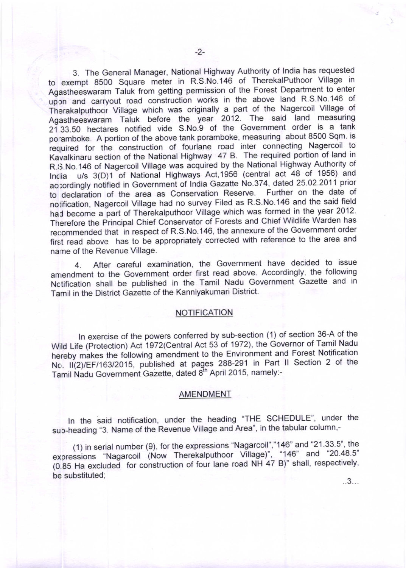3. The General Manager, National Highway Authority of lndia has requested to exempt 8500 Square meter in R.S.No.146 of TherekalPuthoor village in Agastheeswaram Taluk from getting permission of the Forest Department to enter upon and carryout road construction works in the above land R.S.No.146 of Therakalputhoor Village which was originally a part of the Nagercoil Village of Agastheeswaram Taluk before the year 2012. The said land measuring 21 33.50 hectares notified vide S.No.9 of the Government order is a tank po"amboke. A portion of the above tank poramboke, measuring about 8500 Sqm. is required for the construction of fourlane road inter connecting Nagercoil to Kavalkinaru section of the National Highway 47 B. The required portion of land in R.S.No.146 of Nagercoil Village was acquired by the National Highway Authority of Inclia u/s 3(D)1 of National Highways Act,1956 (central act 48 of 1956) and ac:ordingly notified in Government of India Gazatte No.374, dated 25.02.2011 prior to declaration of the area as Conservation Reserve. Further on the date of notification, Nagercoil Village had no survey Filed as R.S.No.146 and the said field had become a part of Therekalputhoor Village which was formed in the year 2012. Therefore the Principal Chief Conservator of Forests and Chief Wildlife Warden has recommended that in respect of R.S.No.146, the annexure of the Government order first read above has to be appropriately corrected with reference to the area and name of the Revenue Village.

4. After careful examination, the Government have decided to issue anrendment to the Government order first read above. Accordingly, the following Nctification shall be published in the Tamil Nadu Government Gazette and in Tamil in the District Gazette of the Kanniyakumari District.

# **NOTIFICATION**

ln exercise of the powers conferred by sub-section (1) of section 36-A of the wild Life (Protection) Act 1972(Central Act 53 ot 1972), the Governor of Tamil Nadu hereby makes the following amendment to the Environment and Forest Notification Nc. II(2)/EF/163/2015, published at pages 288-291 in Part II Section 2 of the Tamil Nadu Government Gazette, dated 8<sup>th</sup> April 2015, namely:-

#### AMENDMENT

In the said notification, under the heading "THE SCHEDULE", under the sub-heading "3. Name of the Revenue Village and Area", in the tabular column,-

(1) in serial number (9), for the expressions "Nagarcoil","146" and "21 33 5"' the expressions "Nagarcoil (Now Therekalputhoor Village)", "146" and "20.48.5"  $(0.85$  Ha excluded for construction of four lane road NH 47 B)" shall, respectively,  $\mathbf{b}$ e substituted;  $\mathbf{a}$ ...3...